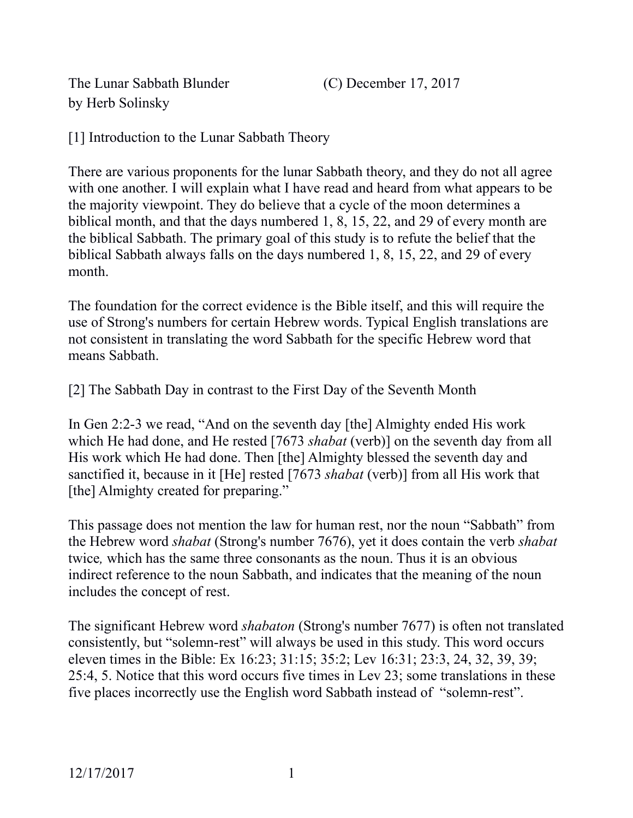The Lunar Sabbath Blunder (C) December 17, 2017 by Herb Solinsky

[1] Introduction to the Lunar Sabbath Theory

There are various proponents for the lunar Sabbath theory, and they do not all agree with one another. I will explain what I have read and heard from what appears to be the majority viewpoint. They do believe that a cycle of the moon determines a biblical month, and that the days numbered 1, 8, 15, 22, and 29 of every month are the biblical Sabbath. The primary goal of this study is to refute the belief that the biblical Sabbath always falls on the days numbered 1, 8, 15, 22, and 29 of every month.

The foundation for the correct evidence is the Bible itself, and this will require the use of Strong's numbers for certain Hebrew words. Typical English translations are not consistent in translating the word Sabbath for the specific Hebrew word that means Sabbath.

[2] The Sabbath Day in contrast to the First Day of the Seventh Month

In Gen 2:2-3 we read, "And on the seventh day [the] Almighty ended His work which He had done, and He rested [7673 *shabat* (verb)] on the seventh day from all His work which He had done. Then [the] Almighty blessed the seventh day and sanctified it, because in it [He] rested [7673 *shabat* (verb)] from all His work that [the] Almighty created for preparing."

This passage does not mention the law for human rest, nor the noun "Sabbath" from the Hebrew word *shabat* (Strong's number 7676), yet it does contain the verb *shabat*  twice*,* which has the same three consonants as the noun. Thus it is an obvious indirect reference to the noun Sabbath, and indicates that the meaning of the noun includes the concept of rest.

The significant Hebrew word *shabaton* (Strong's number 7677) is often not translated consistently, but "solemn-rest" will always be used in this study. This word occurs eleven times in the Bible: Ex 16:23; 31:15; 35:2; Lev 16:31; 23:3, 24, 32, 39, 39; 25:4, 5. Notice that this word occurs five times in Lev 23; some translations in these five places incorrectly use the English word Sabbath instead of "solemn-rest".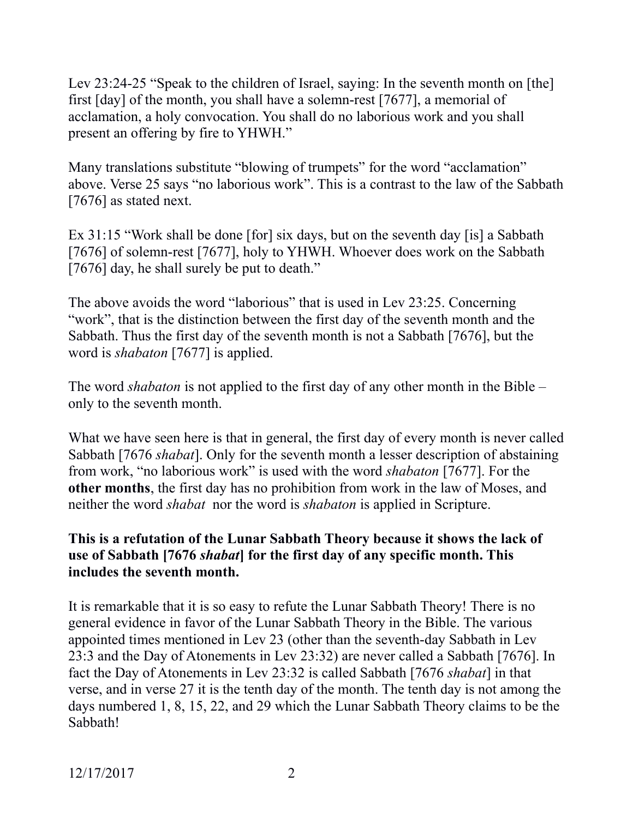Lev 23:24-25 "Speak to the children of Israel, saying: In the seventh month on [the] first [day] of the month, you shall have a solemn-rest [7677], a memorial of acclamation, a holy convocation. You shall do no laborious work and you shall present an offering by fire to YHWH."

Many translations substitute "blowing of trumpets" for the word "acclamation" above. Verse 25 says "no laborious work". This is a contrast to the law of the Sabbath [7676] as stated next.

Ex 31:15 "Work shall be done [for] six days, but on the seventh day [is] a Sabbath [7676] of solemn-rest [7677], holy to YHWH. Whoever does work on the Sabbath [7676] day, he shall surely be put to death."

The above avoids the word "laborious" that is used in Lev 23:25. Concerning "work", that is the distinction between the first day of the seventh month and the Sabbath. Thus the first day of the seventh month is not a Sabbath [7676], but the word is *shabaton* [7677] is applied.

The word *shabaton* is not applied to the first day of any other month in the Bible – only to the seventh month.

What we have seen here is that in general, the first day of every month is never called Sabbath [7676 *shabat*]. Only for the seventh month a lesser description of abstaining from work, "no laborious work" is used with the word *shabaton* [7677]. For the **other months**, the first day has no prohibition from work in the law of Moses, and neither the word *shabat* nor the word is *shabaton* is applied in Scripture.

### **This is a refutation of the Lunar Sabbath Theory because it shows the lack of use of Sabbath [7676** *shabat***] for the first day of any specific month. This includes the seventh month.**

It is remarkable that it is so easy to refute the Lunar Sabbath Theory! There is no general evidence in favor of the Lunar Sabbath Theory in the Bible. The various appointed times mentioned in Lev 23 (other than the seventh-day Sabbath in Lev 23:3 and the Day of Atonements in Lev 23:32) are never called a Sabbath [7676]. In fact the Day of Atonements in Lev 23:32 is called Sabbath [7676 *shabat*] in that verse, and in verse 27 it is the tenth day of the month. The tenth day is not among the days numbered 1, 8, 15, 22, and 29 which the Lunar Sabbath Theory claims to be the Sabbath!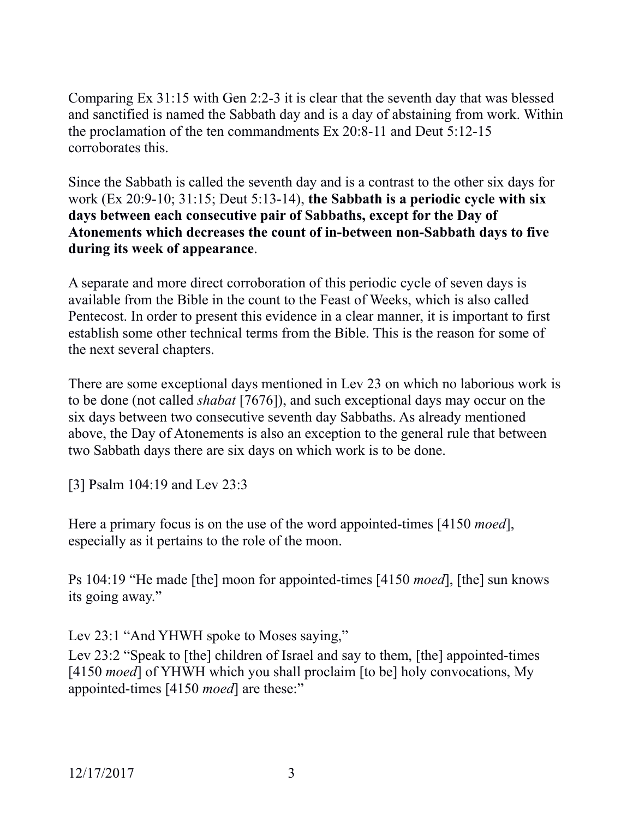Comparing Ex 31:15 with Gen 2:2-3 it is clear that the seventh day that was blessed and sanctified is named the Sabbath day and is a day of abstaining from work. Within the proclamation of the ten commandments Ex 20:8-11 and Deut 5:12-15 corroborates this.

Since the Sabbath is called the seventh day and is a contrast to the other six days for work (Ex 20:9-10; 31:15; Deut 5:13-14), **the Sabbath is a periodic cycle with six days between each consecutive pair of Sabbaths, except for the Day of Atonements which decreases the count of in-between non-Sabbath days to five during its week of appearance**.

A separate and more direct corroboration of this periodic cycle of seven days is available from the Bible in the count to the Feast of Weeks, which is also called Pentecost. In order to present this evidence in a clear manner, it is important to first establish some other technical terms from the Bible. This is the reason for some of the next several chapters.

There are some exceptional days mentioned in Lev 23 on which no laborious work is to be done (not called *shabat* [7676]), and such exceptional days may occur on the six days between two consecutive seventh day Sabbaths. As already mentioned above, the Day of Atonements is also an exception to the general rule that between two Sabbath days there are six days on which work is to be done.

[3] Psalm 104:19 and Lev 23:3

Here a primary focus is on the use of the word appointed-times [4150 *moed*], especially as it pertains to the role of the moon.

Ps 104:19 "He made [the] moon for appointed-times [4150 *moed*], [the] sun knows its going away."

Lev 23:1 "And YHWH spoke to Moses saying,"

Lev 23:2 "Speak to [the] children of Israel and say to them, [the] appointed-times [4150 *moed*] of YHWH which you shall proclaim [to be] holy convocations, My appointed-times [4150 *moed*] are these:"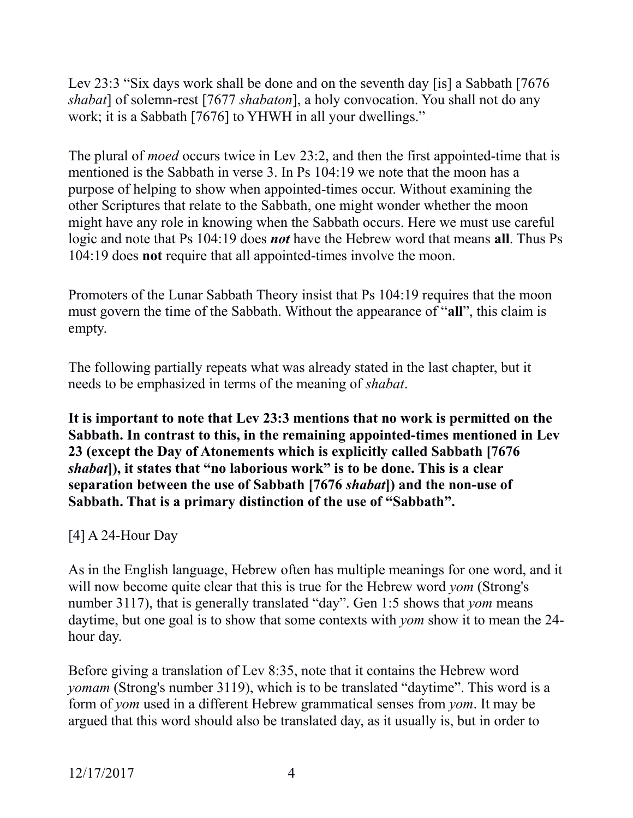Lev 23:3 "Six days work shall be done and on the seventh day [is] a Sabbath [7676 *shabat*] of solemn-rest [7677 *shabaton*], a holy convocation. You shall not do any work; it is a Sabbath [7676] to YHWH in all your dwellings."

The plural of *moed* occurs twice in Lev 23:2, and then the first appointed-time that is mentioned is the Sabbath in verse 3. In Ps 104:19 we note that the moon has a purpose of helping to show when appointed-times occur. Without examining the other Scriptures that relate to the Sabbath, one might wonder whether the moon might have any role in knowing when the Sabbath occurs. Here we must use careful logic and note that Ps 104:19 does *not* have the Hebrew word that means **all**. Thus Ps 104:19 does **not** require that all appointed-times involve the moon.

Promoters of the Lunar Sabbath Theory insist that Ps 104:19 requires that the moon must govern the time of the Sabbath. Without the appearance of "**all**", this claim is empty.

The following partially repeats what was already stated in the last chapter, but it needs to be emphasized in terms of the meaning of *shabat*.

**It is important to note that Lev 23:3 mentions that no work is permitted on the Sabbath. In contrast to this, in the remaining appointed-times mentioned in Lev 23 (except the Day of Atonements which is explicitly called Sabbath [7676**  *shabat***]), it states that "no laborious work" is to be done. This is a clear separation between the use of Sabbath [7676** *shabat***]) and the non-use of Sabbath. That is a primary distinction of the use of "Sabbath".**

[4] A 24-Hour Day

As in the English language, Hebrew often has multiple meanings for one word, and it will now become quite clear that this is true for the Hebrew word *yom* (Strong's number 3117), that is generally translated "day". Gen 1:5 shows that *yom* means daytime, but one goal is to show that some contexts with *yom* show it to mean the 24 hour day.

Before giving a translation of Lev 8:35, note that it contains the Hebrew word *yomam* (Strong's number 3119), which is to be translated "daytime". This word is a form of *yom* used in a different Hebrew grammatical senses from *yom*. It may be argued that this word should also be translated day, as it usually is, but in order to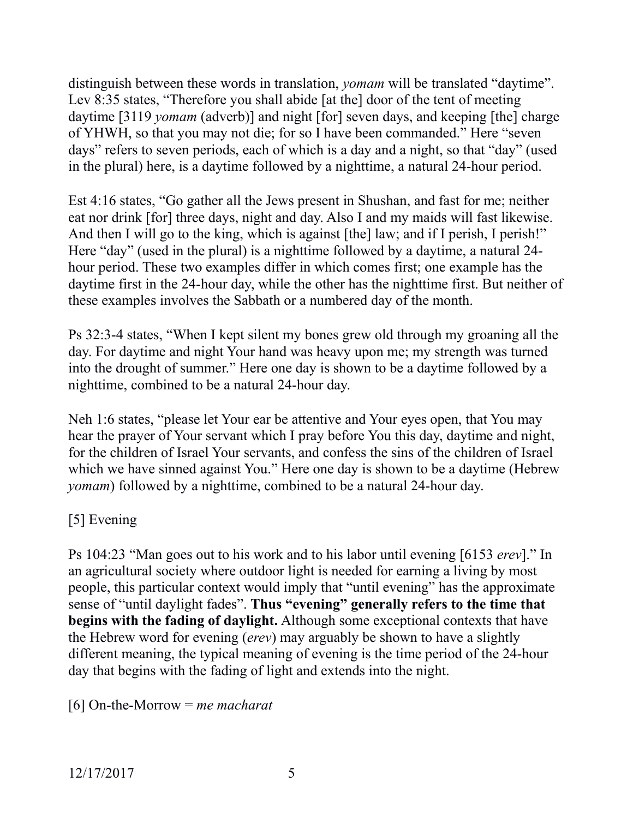distinguish between these words in translation, *yomam* will be translated "daytime". Lev 8:35 states, "Therefore you shall abide [at the] door of the tent of meeting daytime [3119 *yomam* (adverb)] and night [for] seven days, and keeping [the] charge of YHWH, so that you may not die; for so I have been commanded." Here "seven days" refers to seven periods, each of which is a day and a night, so that "day" (used in the plural) here, is a daytime followed by a nighttime, a natural 24-hour period.

Est 4:16 states, "Go gather all the Jews present in Shushan, and fast for me; neither eat nor drink [for] three days, night and day. Also I and my maids will fast likewise. And then I will go to the king, which is against [the] law; and if I perish, I perish!" Here "day" (used in the plural) is a nighttime followed by a daytime, a natural 24 hour period. These two examples differ in which comes first; one example has the daytime first in the 24-hour day, while the other has the nighttime first. But neither of these examples involves the Sabbath or a numbered day of the month.

Ps 32:3-4 states, "When I kept silent my bones grew old through my groaning all the day. For daytime and night Your hand was heavy upon me; my strength was turned into the drought of summer." Here one day is shown to be a daytime followed by a nighttime, combined to be a natural 24-hour day.

Neh 1:6 states, "please let Your ear be attentive and Your eyes open, that You may hear the prayer of Your servant which I pray before You this day, daytime and night, for the children of Israel Your servants, and confess the sins of the children of Israel which we have sinned against You." Here one day is shown to be a daytime (Hebrew *yomam*) followed by a nighttime, combined to be a natural 24-hour day.

# [5] Evening

Ps 104:23 "Man goes out to his work and to his labor until evening [6153 *erev*]." In an agricultural society where outdoor light is needed for earning a living by most people, this particular context would imply that "until evening" has the approximate sense of "until daylight fades". **Thus "evening" generally refers to the time that begins with the fading of daylight.** Although some exceptional contexts that have the Hebrew word for evening (*erev*) may arguably be shown to have a slightly different meaning, the typical meaning of evening is the time period of the 24-hour day that begins with the fading of light and extends into the night.

[6] On-the-Morrow = *me macharat*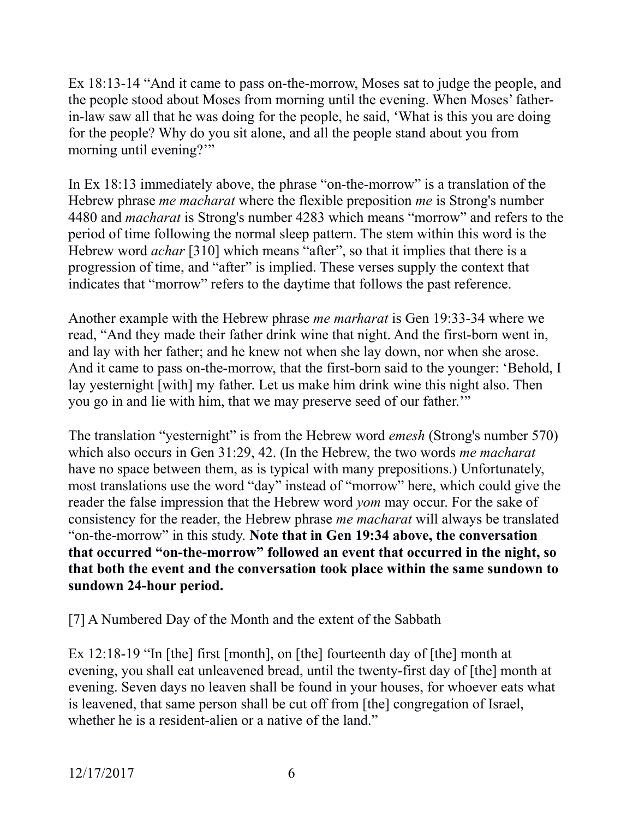Ex 18:13-14 "And it came to pass on-the-morrow, Moses sat to judge the people, and the people stood about Moses from morning until the evening. When Moses' fatherin-law saw all that he was doing for the people, he said, 'What is this you are doing for the people? Why do you sit alone, and all the people stand about you from morning until evening?"

In Ex 18:13 immediately above, the phrase "on-the-morrow" is a translation of the Hebrew phrase *me macharat* where the flexible preposition *me* is Strong's number 4480 and *macharat* is Strong's number 4283 which means "morrow" and refers to the period of time following the normal sleep pattern. The stem within this word is the Hebrew word *achar* [310] which means "after", so that it implies that there is a progression of time, and "after" is implied. These verses supply the context that indicates that "morrow" refers to the daytime that follows the past reference.

Another example with the Hebrew phrase *me marharat* is Gen 19:33-34 where we read, "And they made their father drink wine that night. And the first-born went in, and lay with her father; and he knew not when she lay down, nor when she arose. And it came to pass on-the-morrow, that the first-born said to the younger: 'Behold, I lay yesternight [with] my father. Let us make him drink wine this night also. Then you go in and lie with him, that we may preserve seed of our father.'"

The translation "yesternight" is from the Hebrew word *emesh* (Strong's number 570) which also occurs in Gen 31:29, 42. (In the Hebrew, the two words *me macharat* have no space between them, as is typical with many prepositions.) Unfortunately, most translations use the word "day" instead of "morrow" here, which could give the reader the false impression that the Hebrew word *yom* may occur. For the sake of consistency for the reader, the Hebrew phrase *me macharat* will always be translated "on-the-morrow" in this study. **Note that in Gen 19:34 above, the conversation that occurred "on-the-morrow" followed an event that occurred in the night, so that both the event and the conversation took place within the same sundown to sundown 24-hour period.**

[7] A Numbered Day of the Month and the extent of the Sabbath

Ex 12:18-19 "In [the] first [month], on [the] fourteenth day of [the] month at evening, you shall eat unleavened bread, until the twenty-first day of [the] month at evening. Seven days no leaven shall be found in your houses, for whoever eats what is leavened, that same person shall be cut off from [the] congregation of Israel, whether he is a resident-alien or a native of the land."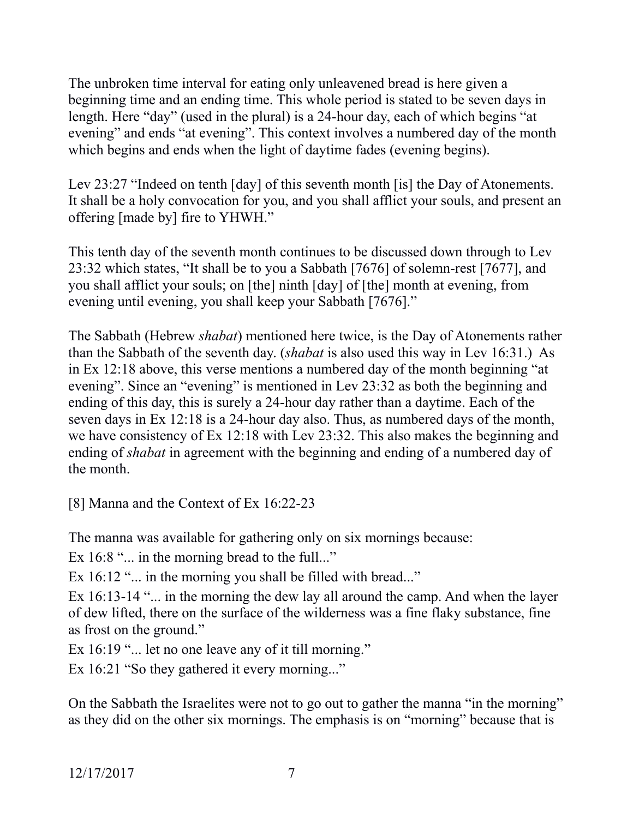The unbroken time interval for eating only unleavened bread is here given a beginning time and an ending time. This whole period is stated to be seven days in length. Here "day" (used in the plural) is a 24-hour day, each of which begins "at evening" and ends "at evening". This context involves a numbered day of the month which begins and ends when the light of daytime fades (evening begins).

Lev 23:27 "Indeed on tenth [day] of this seventh month [is] the Day of Atonements. It shall be a holy convocation for you, and you shall afflict your souls, and present an offering [made by] fire to YHWH."

This tenth day of the seventh month continues to be discussed down through to Lev 23:32 which states, "It shall be to you a Sabbath [7676] of solemn-rest [7677], and you shall afflict your souls; on [the] ninth [day] of [the] month at evening, from evening until evening, you shall keep your Sabbath [7676]."

The Sabbath (Hebrew *shabat*) mentioned here twice, is the Day of Atonements rather than the Sabbath of the seventh day. (*shabat* is also used this way in Lev 16:31.) As in Ex 12:18 above, this verse mentions a numbered day of the month beginning "at evening". Since an "evening" is mentioned in Lev 23:32 as both the beginning and ending of this day, this is surely a 24-hour day rather than a daytime. Each of the seven days in Ex 12:18 is a 24-hour day also. Thus, as numbered days of the month, we have consistency of Ex 12:18 with Lev 23:32. This also makes the beginning and ending of *shabat* in agreement with the beginning and ending of a numbered day of the month.

[8] Manna and the Context of Ex 16:22-23

The manna was available for gathering only on six mornings because:

Ex 16:8 "... in the morning bread to the full..."

Ex 16:12 "... in the morning you shall be filled with bread..."

Ex 16:13-14 "... in the morning the dew lay all around the camp. And when the layer of dew lifted, there on the surface of the wilderness was a fine flaky substance, fine as frost on the ground."

Ex 16:19 "... let no one leave any of it till morning."

Ex 16:21 "So they gathered it every morning..."

On the Sabbath the Israelites were not to go out to gather the manna "in the morning" as they did on the other six mornings. The emphasis is on "morning" because that is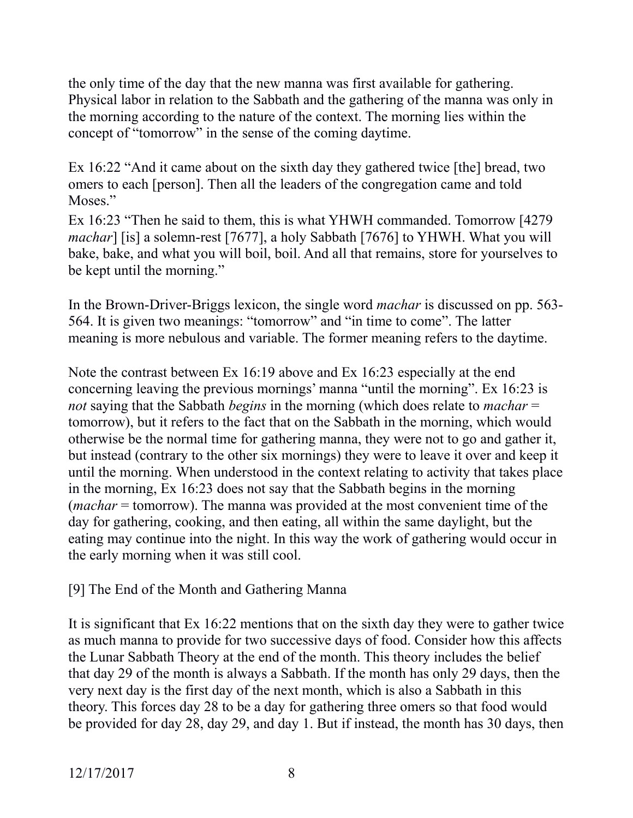the only time of the day that the new manna was first available for gathering. Physical labor in relation to the Sabbath and the gathering of the manna was only in the morning according to the nature of the context. The morning lies within the concept of "tomorrow" in the sense of the coming daytime.

Ex 16:22 "And it came about on the sixth day they gathered twice [the] bread, two omers to each [person]. Then all the leaders of the congregation came and told Moses."

Ex 16:23 "Then he said to them, this is what YHWH commanded. Tomorrow [4279 *machar*] [is] a solemn-rest [7677], a holy Sabbath [7676] to YHWH. What you will bake, bake, and what you will boil, boil. And all that remains, store for yourselves to be kept until the morning."

In the Brown-Driver-Briggs lexicon, the single word *machar* is discussed on pp. 563- 564. It is given two meanings: "tomorrow" and "in time to come". The latter meaning is more nebulous and variable. The former meaning refers to the daytime.

Note the contrast between Ex 16:19 above and Ex 16:23 especially at the end concerning leaving the previous mornings' manna "until the morning". Ex 16:23 is *not* saying that the Sabbath *begins* in the morning (which does relate to *machar* = tomorrow), but it refers to the fact that on the Sabbath in the morning, which would otherwise be the normal time for gathering manna, they were not to go and gather it, but instead (contrary to the other six mornings) they were to leave it over and keep it until the morning. When understood in the context relating to activity that takes place in the morning, Ex 16:23 does not say that the Sabbath begins in the morning (*machar* = tomorrow). The manna was provided at the most convenient time of the day for gathering, cooking, and then eating, all within the same daylight, but the eating may continue into the night. In this way the work of gathering would occur in the early morning when it was still cool.

## [9] The End of the Month and Gathering Manna

It is significant that Ex 16:22 mentions that on the sixth day they were to gather twice as much manna to provide for two successive days of food. Consider how this affects the Lunar Sabbath Theory at the end of the month. This theory includes the belief that day 29 of the month is always a Sabbath. If the month has only 29 days, then the very next day is the first day of the next month, which is also a Sabbath in this theory. This forces day 28 to be a day for gathering three omers so that food would be provided for day 28, day 29, and day 1. But if instead, the month has 30 days, then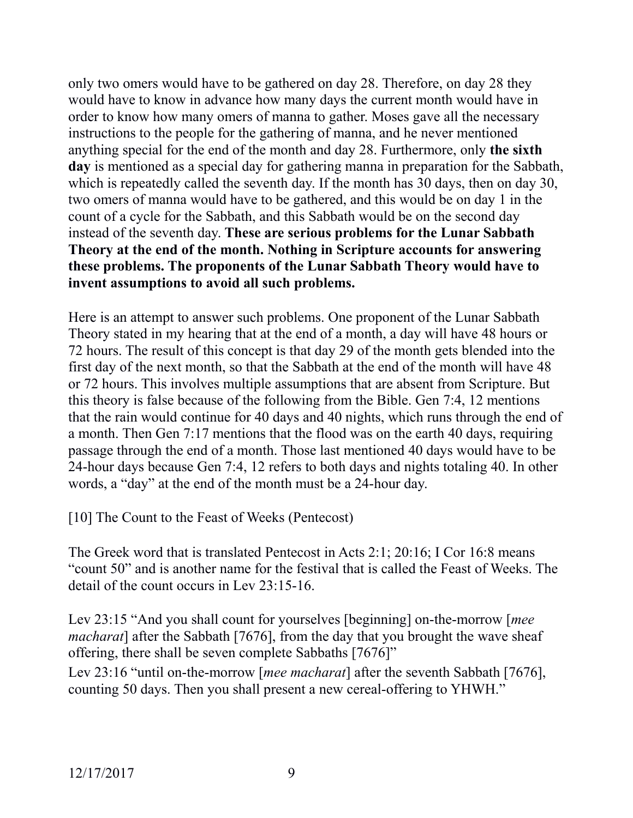only two omers would have to be gathered on day 28. Therefore, on day 28 they would have to know in advance how many days the current month would have in order to know how many omers of manna to gather. Moses gave all the necessary instructions to the people for the gathering of manna, and he never mentioned anything special for the end of the month and day 28. Furthermore, only **the sixth day** is mentioned as a special day for gathering manna in preparation for the Sabbath, which is repeatedly called the seventh day. If the month has 30 days, then on day 30, two omers of manna would have to be gathered, and this would be on day 1 in the count of a cycle for the Sabbath, and this Sabbath would be on the second day instead of the seventh day. **These are serious problems for the Lunar Sabbath Theory at the end of the month. Nothing in Scripture accounts for answering these problems. The proponents of the Lunar Sabbath Theory would have to invent assumptions to avoid all such problems.**

Here is an attempt to answer such problems. One proponent of the Lunar Sabbath Theory stated in my hearing that at the end of a month, a day will have 48 hours or 72 hours. The result of this concept is that day 29 of the month gets blended into the first day of the next month, so that the Sabbath at the end of the month will have 48 or 72 hours. This involves multiple assumptions that are absent from Scripture. But this theory is false because of the following from the Bible. Gen 7:4, 12 mentions that the rain would continue for 40 days and 40 nights, which runs through the end of a month. Then Gen 7:17 mentions that the flood was on the earth 40 days, requiring passage through the end of a month. Those last mentioned 40 days would have to be 24-hour days because Gen 7:4, 12 refers to both days and nights totaling 40. In other words, a "day" at the end of the month must be a 24-hour day.

[10] The Count to the Feast of Weeks (Pentecost)

The Greek word that is translated Pentecost in Acts 2:1; 20:16; I Cor 16:8 means "count 50" and is another name for the festival that is called the Feast of Weeks. The detail of the count occurs in Lev 23:15-16.

Lev 23:15 "And you shall count for yourselves [beginning] on-the-morrow [*mee macharat*] after the Sabbath [7676], from the day that you brought the wave sheaf offering, there shall be seven complete Sabbaths [7676]"

Lev 23:16 "until on-the-morrow [*mee macharat*] after the seventh Sabbath [7676], counting 50 days. Then you shall present a new cereal-offering to YHWH."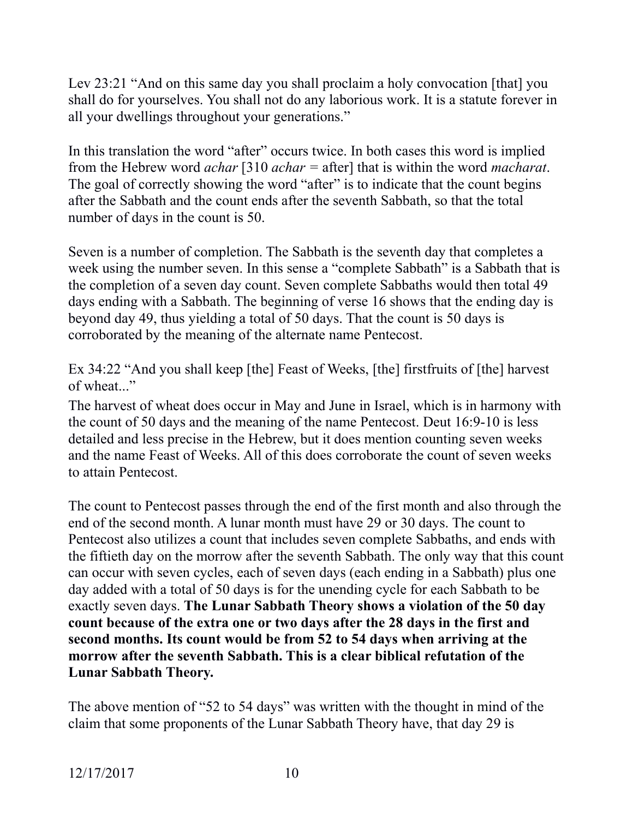Lev 23:21 "And on this same day you shall proclaim a holy convocation [that] you shall do for yourselves. You shall not do any laborious work. It is a statute forever in all your dwellings throughout your generations."

In this translation the word "after" occurs twice. In both cases this word is implied from the Hebrew word *achar* [310 *achar =* after] that is within the word *macharat*. The goal of correctly showing the word "after" is to indicate that the count begins after the Sabbath and the count ends after the seventh Sabbath, so that the total number of days in the count is 50.

Seven is a number of completion. The Sabbath is the seventh day that completes a week using the number seven. In this sense a "complete Sabbath" is a Sabbath that is the completion of a seven day count. Seven complete Sabbaths would then total 49 days ending with a Sabbath. The beginning of verse 16 shows that the ending day is beyond day 49, thus yielding a total of 50 days. That the count is 50 days is corroborated by the meaning of the alternate name Pentecost.

Ex 34:22 "And you shall keep [the] Feast of Weeks, [the] firstfruits of [the] harvest of wheat..."

The harvest of wheat does occur in May and June in Israel, which is in harmony with the count of 50 days and the meaning of the name Pentecost. Deut 16:9-10 is less detailed and less precise in the Hebrew, but it does mention counting seven weeks and the name Feast of Weeks. All of this does corroborate the count of seven weeks to attain Pentecost.

The count to Pentecost passes through the end of the first month and also through the end of the second month. A lunar month must have 29 or 30 days. The count to Pentecost also utilizes a count that includes seven complete Sabbaths, and ends with the fiftieth day on the morrow after the seventh Sabbath. The only way that this count can occur with seven cycles, each of seven days (each ending in a Sabbath) plus one day added with a total of 50 days is for the unending cycle for each Sabbath to be exactly seven days. **The Lunar Sabbath Theory shows a violation of the 50 day count because of the extra one or two days after the 28 days in the first and second months. Its count would be from 52 to 54 days when arriving at the morrow after the seventh Sabbath. This is a clear biblical refutation of the Lunar Sabbath Theory.**

The above mention of "52 to 54 days" was written with the thought in mind of the claim that some proponents of the Lunar Sabbath Theory have, that day 29 is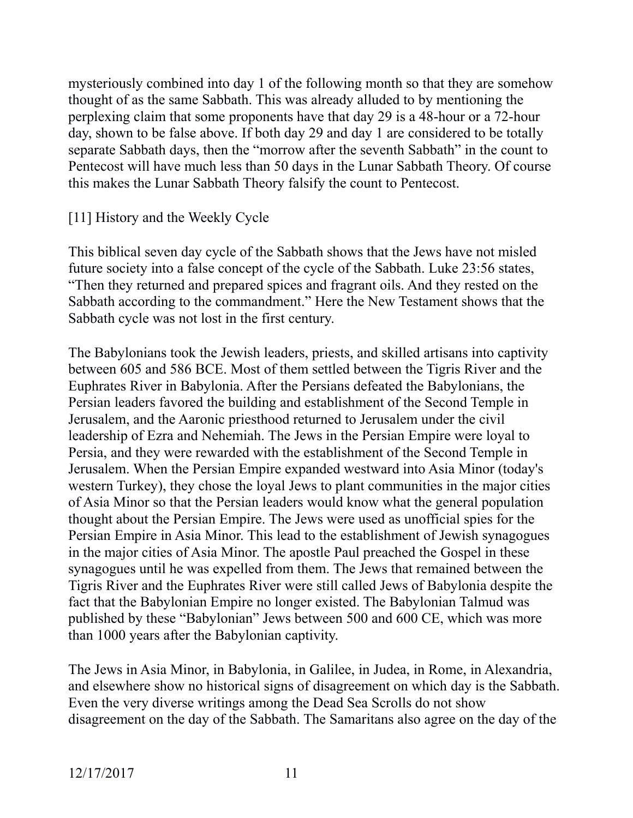mysteriously combined into day 1 of the following month so that they are somehow thought of as the same Sabbath. This was already alluded to by mentioning the perplexing claim that some proponents have that day 29 is a 48-hour or a 72-hour day, shown to be false above. If both day 29 and day 1 are considered to be totally separate Sabbath days, then the "morrow after the seventh Sabbath" in the count to Pentecost will have much less than 50 days in the Lunar Sabbath Theory. Of course this makes the Lunar Sabbath Theory falsify the count to Pentecost.

### [11] History and the Weekly Cycle

This biblical seven day cycle of the Sabbath shows that the Jews have not misled future society into a false concept of the cycle of the Sabbath. Luke 23:56 states, "Then they returned and prepared spices and fragrant oils. And they rested on the Sabbath according to the commandment." Here the New Testament shows that the Sabbath cycle was not lost in the first century.

The Babylonians took the Jewish leaders, priests, and skilled artisans into captivity between 605 and 586 BCE. Most of them settled between the Tigris River and the Euphrates River in Babylonia. After the Persians defeated the Babylonians, the Persian leaders favored the building and establishment of the Second Temple in Jerusalem, and the Aaronic priesthood returned to Jerusalem under the civil leadership of Ezra and Nehemiah. The Jews in the Persian Empire were loyal to Persia, and they were rewarded with the establishment of the Second Temple in Jerusalem. When the Persian Empire expanded westward into Asia Minor (today's western Turkey), they chose the loyal Jews to plant communities in the major cities of Asia Minor so that the Persian leaders would know what the general population thought about the Persian Empire. The Jews were used as unofficial spies for the Persian Empire in Asia Minor. This lead to the establishment of Jewish synagogues in the major cities of Asia Minor. The apostle Paul preached the Gospel in these synagogues until he was expelled from them. The Jews that remained between the Tigris River and the Euphrates River were still called Jews of Babylonia despite the fact that the Babylonian Empire no longer existed. The Babylonian Talmud was published by these "Babylonian" Jews between 500 and 600 CE, which was more than 1000 years after the Babylonian captivity.

The Jews in Asia Minor, in Babylonia, in Galilee, in Judea, in Rome, in Alexandria, and elsewhere show no historical signs of disagreement on which day is the Sabbath. Even the very diverse writings among the Dead Sea Scrolls do not show disagreement on the day of the Sabbath. The Samaritans also agree on the day of the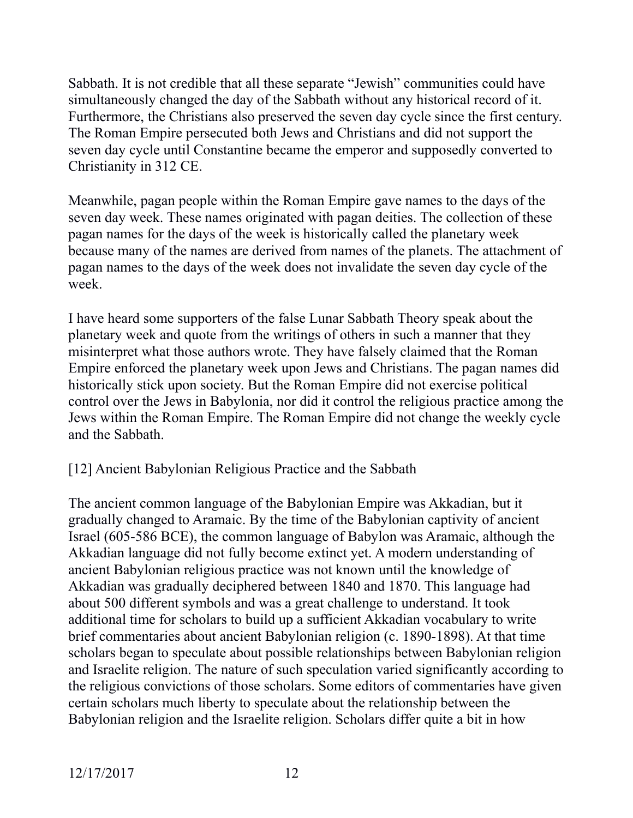Sabbath. It is not credible that all these separate "Jewish" communities could have simultaneously changed the day of the Sabbath without any historical record of it. Furthermore, the Christians also preserved the seven day cycle since the first century. The Roman Empire persecuted both Jews and Christians and did not support the seven day cycle until Constantine became the emperor and supposedly converted to Christianity in 312 CE.

Meanwhile, pagan people within the Roman Empire gave names to the days of the seven day week. These names originated with pagan deities. The collection of these pagan names for the days of the week is historically called the planetary week because many of the names are derived from names of the planets. The attachment of pagan names to the days of the week does not invalidate the seven day cycle of the week.

I have heard some supporters of the false Lunar Sabbath Theory speak about the planetary week and quote from the writings of others in such a manner that they misinterpret what those authors wrote. They have falsely claimed that the Roman Empire enforced the planetary week upon Jews and Christians. The pagan names did historically stick upon society. But the Roman Empire did not exercise political control over the Jews in Babylonia, nor did it control the religious practice among the Jews within the Roman Empire. The Roman Empire did not change the weekly cycle and the Sabbath.

## [12] Ancient Babylonian Religious Practice and the Sabbath

The ancient common language of the Babylonian Empire was Akkadian, but it gradually changed to Aramaic. By the time of the Babylonian captivity of ancient Israel (605-586 BCE), the common language of Babylon was Aramaic, although the Akkadian language did not fully become extinct yet. A modern understanding of ancient Babylonian religious practice was not known until the knowledge of Akkadian was gradually deciphered between 1840 and 1870. This language had about 500 different symbols and was a great challenge to understand. It took additional time for scholars to build up a sufficient Akkadian vocabulary to write brief commentaries about ancient Babylonian religion (c. 1890-1898). At that time scholars began to speculate about possible relationships between Babylonian religion and Israelite religion. The nature of such speculation varied significantly according to the religious convictions of those scholars. Some editors of commentaries have given certain scholars much liberty to speculate about the relationship between the Babylonian religion and the Israelite religion. Scholars differ quite a bit in how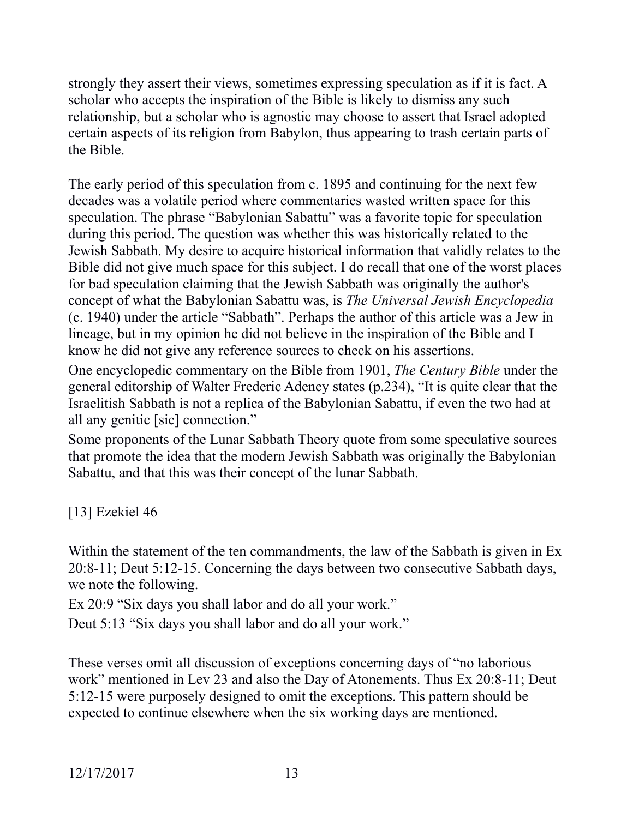strongly they assert their views, sometimes expressing speculation as if it is fact. A scholar who accepts the inspiration of the Bible is likely to dismiss any such relationship, but a scholar who is agnostic may choose to assert that Israel adopted certain aspects of its religion from Babylon, thus appearing to trash certain parts of the Bible.

The early period of this speculation from c. 1895 and continuing for the next few decades was a volatile period where commentaries wasted written space for this speculation. The phrase "Babylonian Sabattu" was a favorite topic for speculation during this period. The question was whether this was historically related to the Jewish Sabbath. My desire to acquire historical information that validly relates to the Bible did not give much space for this subject. I do recall that one of the worst places for bad speculation claiming that the Jewish Sabbath was originally the author's concept of what the Babylonian Sabattu was, is *The Universal Jewish Encyclopedia* (c. 1940) under the article "Sabbath". Perhaps the author of this article was a Jew in lineage, but in my opinion he did not believe in the inspiration of the Bible and I know he did not give any reference sources to check on his assertions.

One encyclopedic commentary on the Bible from 1901, *The Century Bible* under the general editorship of Walter Frederic Adeney states (p.234), "It is quite clear that the Israelitish Sabbath is not a replica of the Babylonian Sabattu, if even the two had at all any genitic [sic] connection."

Some proponents of the Lunar Sabbath Theory quote from some speculative sources that promote the idea that the modern Jewish Sabbath was originally the Babylonian Sabattu, and that this was their concept of the lunar Sabbath.

[13] Ezekiel 46

Within the statement of the ten commandments, the law of the Sabbath is given in Ex 20:8-11; Deut 5:12-15. Concerning the days between two consecutive Sabbath days, we note the following.

Ex 20:9 "Six days you shall labor and do all your work."

Deut 5:13 "Six days you shall labor and do all your work."

These verses omit all discussion of exceptions concerning days of "no laborious work" mentioned in Lev 23 and also the Day of Atonements. Thus Ex 20:8-11; Deut 5:12-15 were purposely designed to omit the exceptions. This pattern should be expected to continue elsewhere when the six working days are mentioned.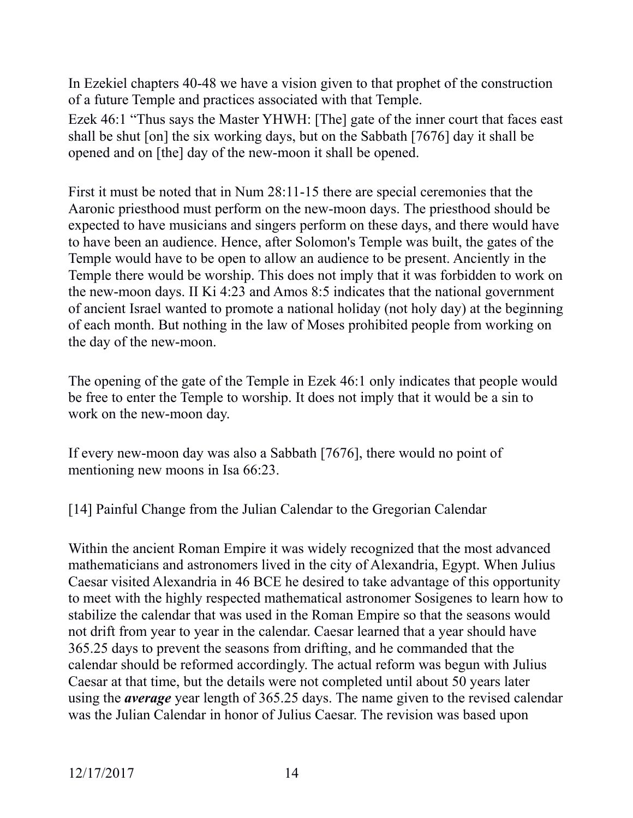In Ezekiel chapters 40-48 we have a vision given to that prophet of the construction of a future Temple and practices associated with that Temple.

Ezek 46:1 "Thus says the Master YHWH: [The] gate of the inner court that faces east shall be shut [on] the six working days, but on the Sabbath [7676] day it shall be opened and on [the] day of the new-moon it shall be opened.

First it must be noted that in Num 28:11-15 there are special ceremonies that the Aaronic priesthood must perform on the new-moon days. The priesthood should be expected to have musicians and singers perform on these days, and there would have to have been an audience. Hence, after Solomon's Temple was built, the gates of the Temple would have to be open to allow an audience to be present. Anciently in the Temple there would be worship. This does not imply that it was forbidden to work on the new-moon days. II Ki 4:23 and Amos 8:5 indicates that the national government of ancient Israel wanted to promote a national holiday (not holy day) at the beginning of each month. But nothing in the law of Moses prohibited people from working on the day of the new-moon.

The opening of the gate of the Temple in Ezek 46:1 only indicates that people would be free to enter the Temple to worship. It does not imply that it would be a sin to work on the new-moon day.

If every new-moon day was also a Sabbath [7676], there would no point of mentioning new moons in Isa 66:23.

[14] Painful Change from the Julian Calendar to the Gregorian Calendar

Within the ancient Roman Empire it was widely recognized that the most advanced mathematicians and astronomers lived in the city of Alexandria, Egypt. When Julius Caesar visited Alexandria in 46 BCE he desired to take advantage of this opportunity to meet with the highly respected mathematical astronomer Sosigenes to learn how to stabilize the calendar that was used in the Roman Empire so that the seasons would not drift from year to year in the calendar. Caesar learned that a year should have 365.25 days to prevent the seasons from drifting, and he commanded that the calendar should be reformed accordingly. The actual reform was begun with Julius Caesar at that time, but the details were not completed until about 50 years later using the *average* year length of 365.25 days. The name given to the revised calendar was the Julian Calendar in honor of Julius Caesar. The revision was based upon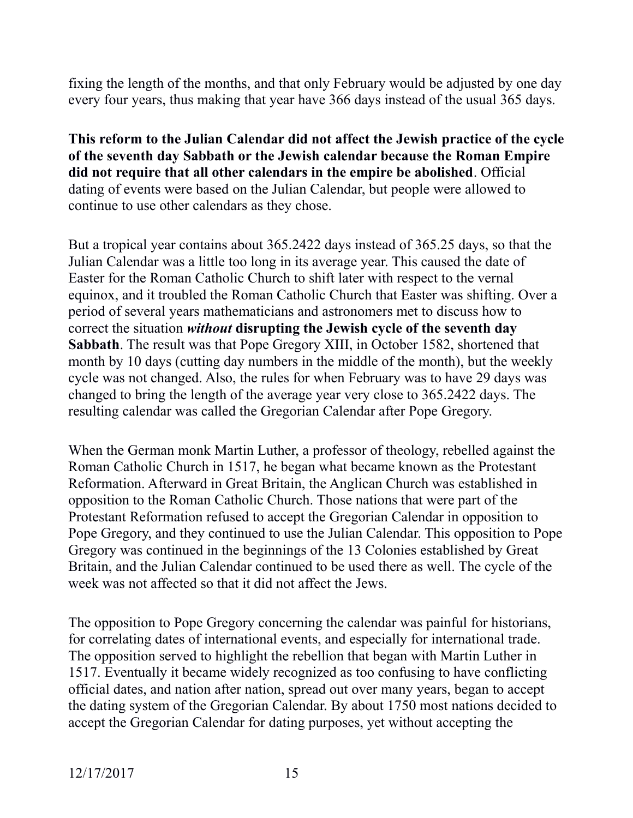fixing the length of the months, and that only February would be adjusted by one day every four years, thus making that year have 366 days instead of the usual 365 days.

**This reform to the Julian Calendar did not affect the Jewish practice of the cycle of the seventh day Sabbath or the Jewish calendar because the Roman Empire did not require that all other calendars in the empire be abolished**. Official dating of events were based on the Julian Calendar, but people were allowed to continue to use other calendars as they chose.

But a tropical year contains about 365.2422 days instead of 365.25 days, so that the Julian Calendar was a little too long in its average year. This caused the date of Easter for the Roman Catholic Church to shift later with respect to the vernal equinox, and it troubled the Roman Catholic Church that Easter was shifting. Over a period of several years mathematicians and astronomers met to discuss how to correct the situation *without* **disrupting the Jewish cycle of the seventh day Sabbath**. The result was that Pope Gregory XIII, in October 1582, shortened that month by 10 days (cutting day numbers in the middle of the month), but the weekly cycle was not changed. Also, the rules for when February was to have 29 days was changed to bring the length of the average year very close to 365.2422 days. The resulting calendar was called the Gregorian Calendar after Pope Gregory.

When the German monk Martin Luther, a professor of theology, rebelled against the Roman Catholic Church in 1517, he began what became known as the Protestant Reformation. Afterward in Great Britain, the Anglican Church was established in opposition to the Roman Catholic Church. Those nations that were part of the Protestant Reformation refused to accept the Gregorian Calendar in opposition to Pope Gregory, and they continued to use the Julian Calendar. This opposition to Pope Gregory was continued in the beginnings of the 13 Colonies established by Great Britain, and the Julian Calendar continued to be used there as well. The cycle of the week was not affected so that it did not affect the Jews.

The opposition to Pope Gregory concerning the calendar was painful for historians, for correlating dates of international events, and especially for international trade. The opposition served to highlight the rebellion that began with Martin Luther in 1517. Eventually it became widely recognized as too confusing to have conflicting official dates, and nation after nation, spread out over many years, began to accept the dating system of the Gregorian Calendar. By about 1750 most nations decided to accept the Gregorian Calendar for dating purposes, yet without accepting the